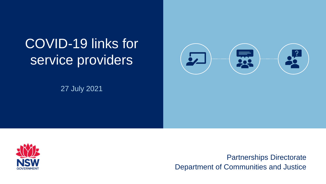# COVID-19 links for service providers

27 July 2021





Partnerships Directorate Department of Communities and Justice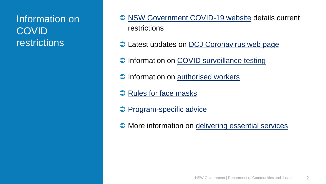# Information on **COVID** restrictions

- **→ [NSW Government COVID-19 website](https://www.nsw.gov.au/covid-19) details current** restrictions
- **C** Latest updates on [DCJ Coronavirus web page](https://www.coronavirus.dcj.nsw.gov.au/service-providers/latest-updates/)
- **[COVID surveillance testing](https://www.nsw.gov.au/covid-19/rules/greater-sydney-workers)**
- $\supset$  Information on [authorised](https://www.nsw.gov.au/covid-19/rules/authorised-workers) workers
- **→ [Rules for face masks](https://www.nsw.gov.au/covid-19/rules/face-mask-rules)**
- **[Program-specific advice](https://www.coronavirus.dcj.nsw.gov.au/service-providers/additional-information-for-specific-dcj-programs)**
- **C** More information on [delivering essential services](https://www.coronavirus.dcj.nsw.gov.au/service-providers/delivering-essential-services)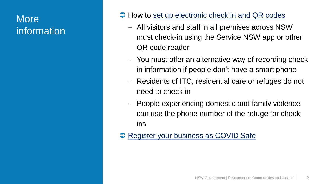### **More** information

- $\supset$  How to [set up electronic check in and QR codes](https://www.nsw.gov.au/covid-19/covid-safe/customer-record-keeping/setting-up-electronic-check-and-qr-codes)
	- All visitors and staff in all premises across NSW must check-in using the Service NSW app or other QR code reader
	- You must offer an alternative way of recording check in information if people don't have a smart phone
	- Residents of ITC, residential care or refuges do not need to check in
	- People experiencing domestic and family violence can use the phone number of the refuge for check ins
- **[Register your business as COVID Safe](https://www.nsw.gov.au/register-your-business-as-covid-safe)**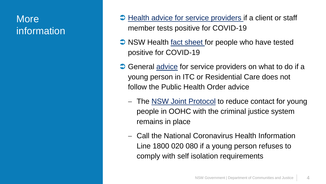### **More** information

- $\supset$  [Health advice for service providers i](https://www.coronavirus.dcj.nsw.gov.au/service-providers/health-advice-for-service-providers)f a client or staff member tests positive for COVID-19
- NSW Health [fact sheet f](https://www.health.nsw.gov.au/Infectious/factsheets/Pages/advice-for-confirmed.aspx)or people who have tested positive for COVID-19
- **→ General [advice](https://www.coronavirus.dcj.nsw.gov.au/service-providers/information-for-intensive-therapeutic-care-itc-service-providers/looking-after-young-people-during-covid-19) for service providers on what to do if a** young person in ITC or Residential Care does not follow the Public Health Order advice
	- The [NSW Joint Protocol](https://www.facs.nsw.gov.au/download?file=585726) to reduce contact for young people in OOHC with the criminal justice system remains in place
	- Call the National Coronavirus Health Information Line 1800 020 080 if a young person refuses to comply with self isolation requirements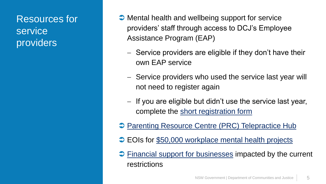Resources for service providers

- **→ Mental health and wellbeing support for service** providers' staff through access to DCJ's Employee Assistance Program (EAP)
	- Service providers are eligible if they don't have their own EAP service
	- Service providers who used the service last year will not need to register again
	- $-$  If you are eligible but didn't use the service last year, complete the [short registration form](https://www.coronavirus.dcj.nsw.gov.au/service-providers/mental-health-and-wellbeing-support)
- **[Parenting Resource Centre \(PRC\) Telepractice](https://www.parentingrc.org.au/telepractice_hub/) Hub**
- **EOIs for [\\$50,000 workplace mental health projects](https://www.nsw.gov.au/mental-health-at-work/50000-for-recovery-at-work-projects)**
- $\supset$  [Financial support for businesses](https://www.nsw.gov.au/covid-19/2021-covid-19-support-package) impacted by the current restrictions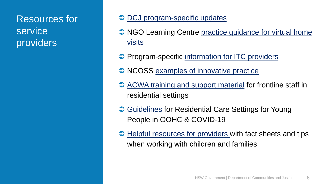# Resources for service providers

#### $\supset$  DCJ program-specific updates

- [NGO Learning Centre practice guidance for virtual home](http://ngolearning.com.au/practice-guidance-for-virtual-home-visits/) visits
- **Program-specific [information for ITC providers](https://www.coronavirus.dcj.nsw.gov.au/service-providers/information-for-intensive-therapeutic-care-itc-service-providers/looking-after-young-people-during-covid-19)**
- NCOSS [examples of innovative practice](https://www.ncoss.org.au/examples-of-covid-19-innovative-practices-in-the-sector/)
- $\supset$  [ACWA training and support material](https://www.acwa.asn.au/guidelines-residential-care-settings-for-young-people-in-oohc-and-covid-19/) for frontline staff in residential settings
- **→ [Guidelines](https://www.coronavirus.dcj.nsw.gov.au/download?file=778992) for Residential Care Settings for Young** People in OOHC & COVID-19
- $\supset$  [Helpful resources for providers w](https://www.coronavirus.dcj.nsw.gov.au/service-providers/helpful-resources)ith fact sheets and tips when working with children and families